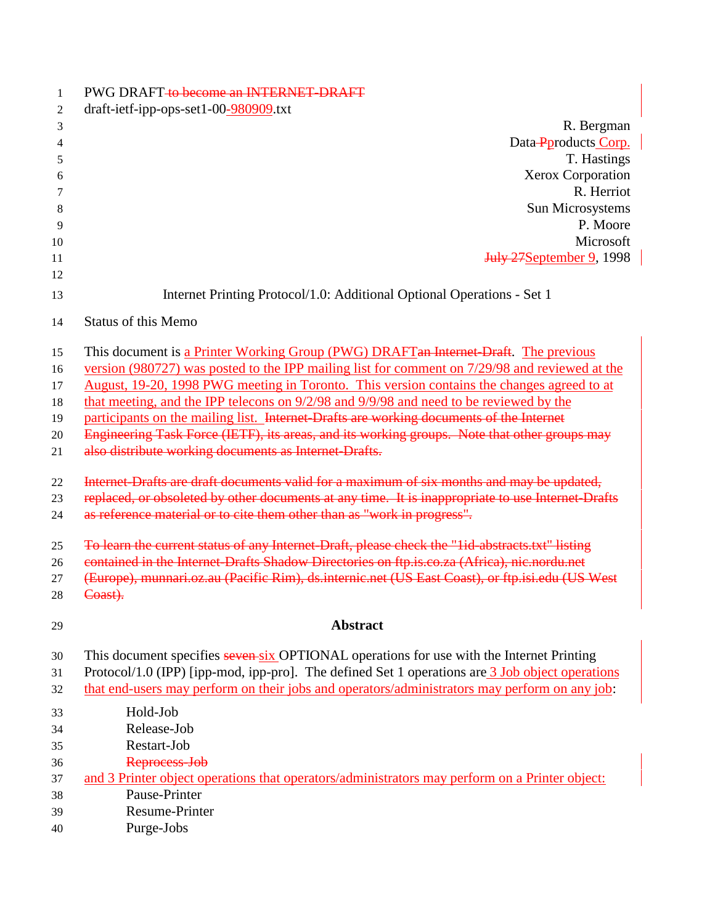| 1        | PWG DRAFT to become an INTERNET-DRAFT                                                             |  |  |
|----------|---------------------------------------------------------------------------------------------------|--|--|
| 2        | draft-ietf-ipp-ops-set1-00-980909.txt                                                             |  |  |
| 3        | R. Bergman                                                                                        |  |  |
| 4        | Data-Pproducts Corp.                                                                              |  |  |
| 5        | T. Hastings                                                                                       |  |  |
| 6        | Xerox Corporation                                                                                 |  |  |
| 7        | R. Herriot                                                                                        |  |  |
| 8        | Sun Microsystems                                                                                  |  |  |
| 9        | P. Moore                                                                                          |  |  |
| 10       | Microsoft                                                                                         |  |  |
| 11<br>12 | <b>July 27 September 9, 1998</b>                                                                  |  |  |
| 13       | Internet Printing Protocol/1.0: Additional Optional Operations - Set 1                            |  |  |
| 14       | <b>Status of this Memo</b>                                                                        |  |  |
| 15       | This document is a Printer Working Group (PWG) DRAFT an Internet-Draft. The previous              |  |  |
| 16       | version (980727) was posted to the IPP mailing list for comment on 7/29/98 and reviewed at the    |  |  |
| 17       | August, 19-20, 1998 PWG meeting in Toronto. This version contains the changes agreed to at        |  |  |
| 18       | that meeting, and the IPP telecons on 9/2/98 and 9/9/98 and need to be reviewed by the            |  |  |
| 19       | participants on the mailing list. Internet-Drafts are working documents of the Internet           |  |  |
| 20       | Engineering Task Force (IETF), its areas, and its working groups. Note that other groups may      |  |  |
| 21       | also distribute working documents as Internet Drafts.                                             |  |  |
| 22       | Internet-Drafts are draft documents valid for a maximum of six months and may be updated,         |  |  |
| 23       | replaced, or obsoleted by other documents at any time. It is inappropriate to use Internet-Drafts |  |  |
| 24       | as reference material or to cite them other than as "work in progress".                           |  |  |
| 25       | To learn the current status of any Internet-Draft, please check the "lid-abstracts.txt" listing   |  |  |
| 26       | contained in the Internet-Drafts Shadow Directories on ftp.is.co.za (Africa), nic.nordu.net       |  |  |
| 27       | (Europe), munnari.oz.au (Pacific Rim), ds.internic.net (US East Coast), or ftp.isi.edu (US West   |  |  |
| 28       | Coast).                                                                                           |  |  |
| 29       | <b>Abstract</b>                                                                                   |  |  |
| 30       | This document specifies seven six OPTIONAL operations for use with the Internet Printing          |  |  |
| 31       | Protocol/1.0 (IPP) [ipp-mod, ipp-pro]. The defined Set 1 operations are 3 Job object operations   |  |  |
| 32       | that end-users may perform on their jobs and operators/administrators may perform on any job:     |  |  |
| 33       | Hold-Job                                                                                          |  |  |
| 34       | Release-Job                                                                                       |  |  |
| 35       | Restart-Job                                                                                       |  |  |
| 36       | Reprocess-Job                                                                                     |  |  |
| 37       | and 3 Printer object operations that operators/administrators may perform on a Printer object:    |  |  |
| 38       | Pause-Printer                                                                                     |  |  |
| 39       | <b>Resume-Printer</b>                                                                             |  |  |
| 40       | Purge-Jobs                                                                                        |  |  |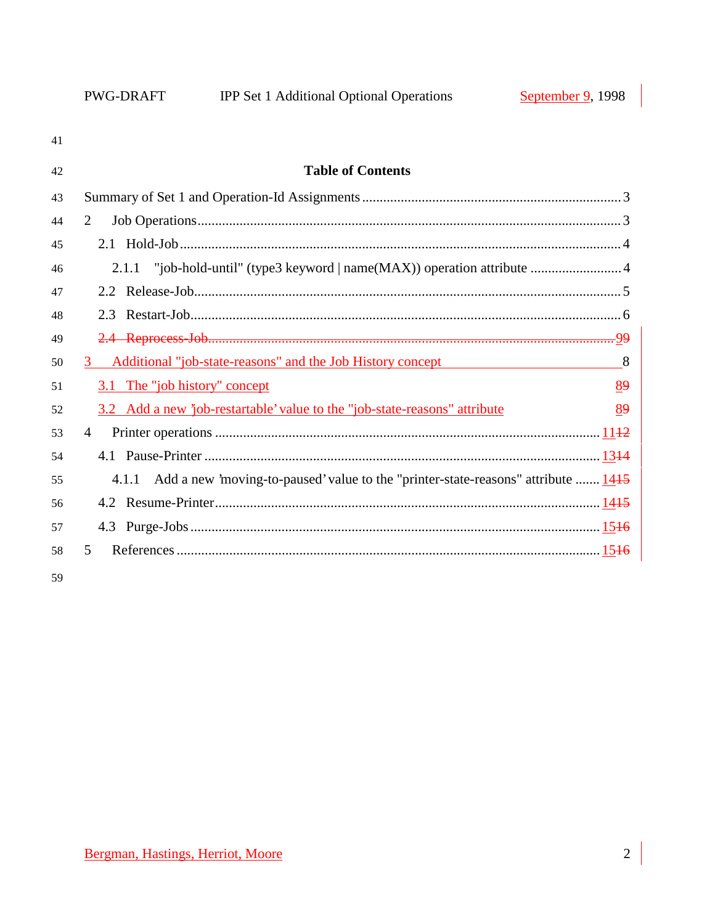| 41 |                                                                                         |    |
|----|-----------------------------------------------------------------------------------------|----|
| 42 | <b>Table of Contents</b>                                                                |    |
| 43 |                                                                                         |    |
| 44 | $\overline{2}$                                                                          |    |
| 45 |                                                                                         |    |
| 46 | 2.1.1 "job-hold-until" (type3 keyword   name(MAX)) operation attribute  4               |    |
| 47 |                                                                                         |    |
| 48 |                                                                                         |    |
| 49 |                                                                                         |    |
| 50 | Additional "job-state-reasons" and the Job History concept<br>$3^{\circ}$               | 8  |
| 51 | 3.1 The "job history" concept                                                           | 89 |
| 52 | 3.2 Add a new 'job-restartable' value to the "job-state-reasons" attribute              | 89 |
| 53 | $\overline{4}$                                                                          |    |
| 54 |                                                                                         |    |
| 55 | 4.1.1 Add a new 'moving-to-paused' value to the "printer-state-reasons" attribute  1415 |    |
| 56 |                                                                                         |    |
| 57 |                                                                                         |    |
| 58 | 5                                                                                       |    |
| 59 |                                                                                         |    |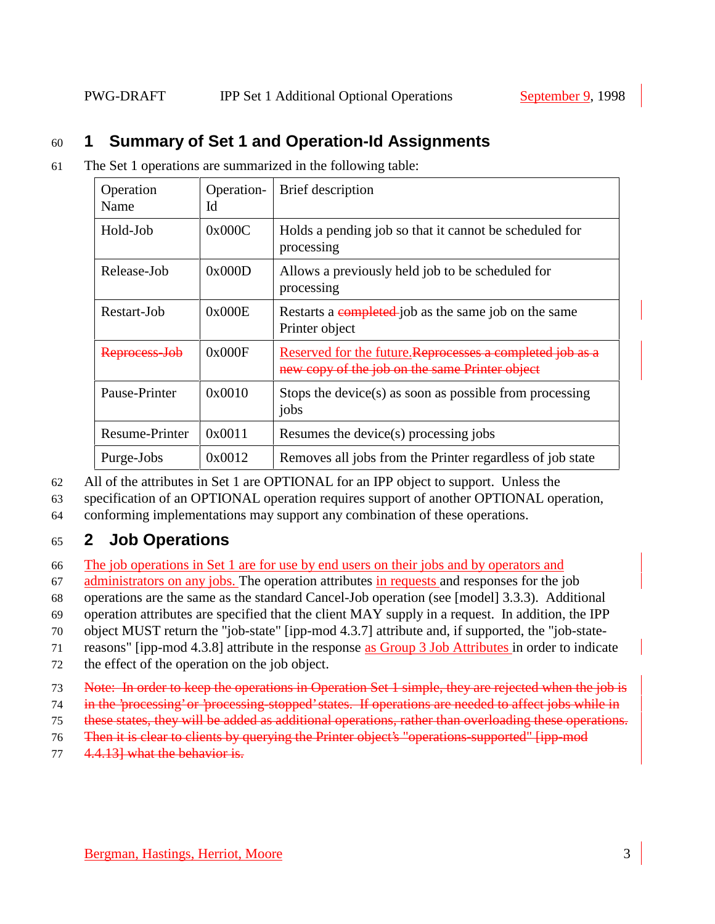# 60 **1 Summary of Set 1 and Operation-Id Assignments**

61 The Set 1 operations are summarized in the following table:

| Operation<br>Name | Operation-<br>Id | Brief description                                                                                           |
|-------------------|------------------|-------------------------------------------------------------------------------------------------------------|
| Hold-Job          | 0x000C           | Holds a pending job so that it cannot be scheduled for<br>processing                                        |
| Release-Job       | 0x000D           | Allows a previously held job to be scheduled for<br>processing                                              |
| Restart-Job       | 0x000E           | Restarts a completed job as the same job on the same<br>Printer object                                      |
| Reprocess-Jol     | 0x000F           | Reserved for the future. Reprocesses a completed job as a<br>new copy of the job on the same Printer object |
| Pause-Printer     | 0x0010           | Stops the device(s) as soon as possible from processing<br>jobs                                             |
| Resume-Printer    | 0x0011           | Resumes the device(s) processing jobs                                                                       |
| Purge-Jobs        | 0x0012           | Removes all jobs from the Printer regardless of job state                                                   |

62 All of the attributes in Set 1 are OPTIONAL for an IPP object to support. Unless the

63 specification of an OPTIONAL operation requires support of another OPTIONAL operation,

64 conforming implementations may support any combination of these operations.

# 65 **2 Job Operations**

66 The job operations in Set 1 are for use by end users on their jobs and by operators and

67 administrators on any jobs. The operation attributes in requests and responses for the job

68 operations are the same as the standard Cancel-Job operation (see [model] 3.3.3). Additional

69 operation attributes are specified that the client MAY supply in a request. In addition, the IPP

70 object MUST return the "job-state" [ipp-mod 4.3.7] attribute and, if supported, the "job-state-

71 reasons" [ipp-mod 4.3.8] attribute in the response as Group 3 Job Attributes in order to indicate

- 72 the effect of the operation on the job object.
- 73 Note: In order to keep the operations in Operation Set 1 simple, they are rejected when the job is
- 74 in the 'processing' or 'processing-stopped' states. If operations are needed to affect jobs while in
- 75 these states, they will be added as additional operations, rather than overloading these operations.
- 76 Then it is clear to clients by querying the Printer object's "operations-supported" [ipp-mod
- 77 4.4.13] what the behavior is.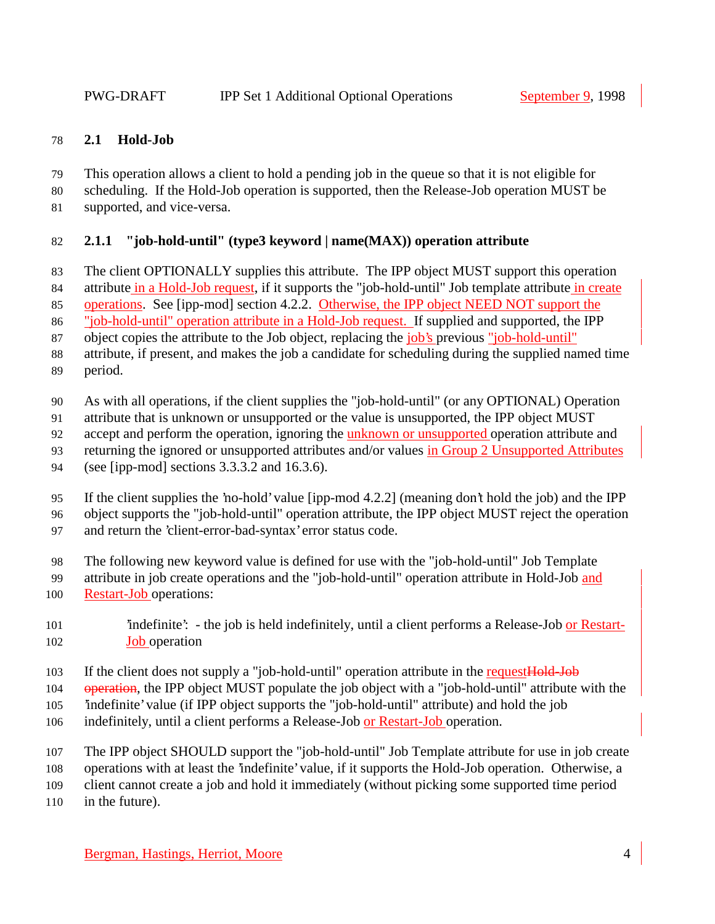#### **2.1 Hold-Job**

- This operation allows a client to hold a pending job in the queue so that it is not eligible for
- scheduling. If the Hold-Job operation is supported, then the Release-Job operation MUST be
- supported, and vice-versa.

# **2.1.1 "job-hold-until" (type3 keyword | name(MAX)) operation attribute**

- The client OPTIONALLY supplies this attribute. The IPP object MUST support this operation
- 84 attribute in a Hold-Job request, if it supports the "job-hold-until" Job template attribute in create
- operations. See [ipp-mod] section 4.2.2. Otherwise, the IPP object NEED NOT support the
- "job-hold-until" operation attribute in a Hold-Job request. If supplied and supported, the IPP
- object copies the attribute to the Job object, replacing the job's previous "job-hold-until"
- attribute, if present, and makes the job a candidate for scheduling during the supplied named time
- period.
- As with all operations, if the client supplies the "job-hold-until" (or any OPTIONAL) Operation
- attribute that is unknown or unsupported or the value is unsupported, the IPP object MUST
- accept and perform the operation, ignoring the unknown or unsupported operation attribute and
- returning the ignored or unsupported attributes and/or values in Group 2 Unsupported Attributes
- (see [ipp-mod] sections 3.3.3.2 and 16.3.6).
- If the client supplies the 'no-hold' value [ipp-mod 4.2.2] (meaning don't hold the job) and the IPP
- object supports the "job-hold-until" operation attribute, the IPP object MUST reject the operation
- and return the 'client-error-bad-syntax' error status code.
- The following new keyword value is defined for use with the "job-hold-until" Job Template
- attribute in job create operations and the "job-hold-until" operation attribute in Hold-Job and
- Restart-Job operations:
- 101  $\ldots$  'indefinite': the job is held indefinitely, until a client performs a Release-Job or Restart-**Job** operation
- 103 If the client does not supply a "job-hold-until" operation attribute in the request Hold-Job
- 104 operation, the IPP object MUST populate the job object with a "job-hold-until" attribute with the
- 'indefinite' value (if IPP object supports the "job-hold-until" attribute) and hold the job
- 106 indefinitely, until a client performs a Release-Job or Restart-Job operation.
- The IPP object SHOULD support the "job-hold-until" Job Template attribute for use in job create
- operations with at least the 'indefinite' value, if it supports the Hold-Job operation. Otherwise, a
- client cannot create a job and hold it immediately (without picking some supported time period
- in the future).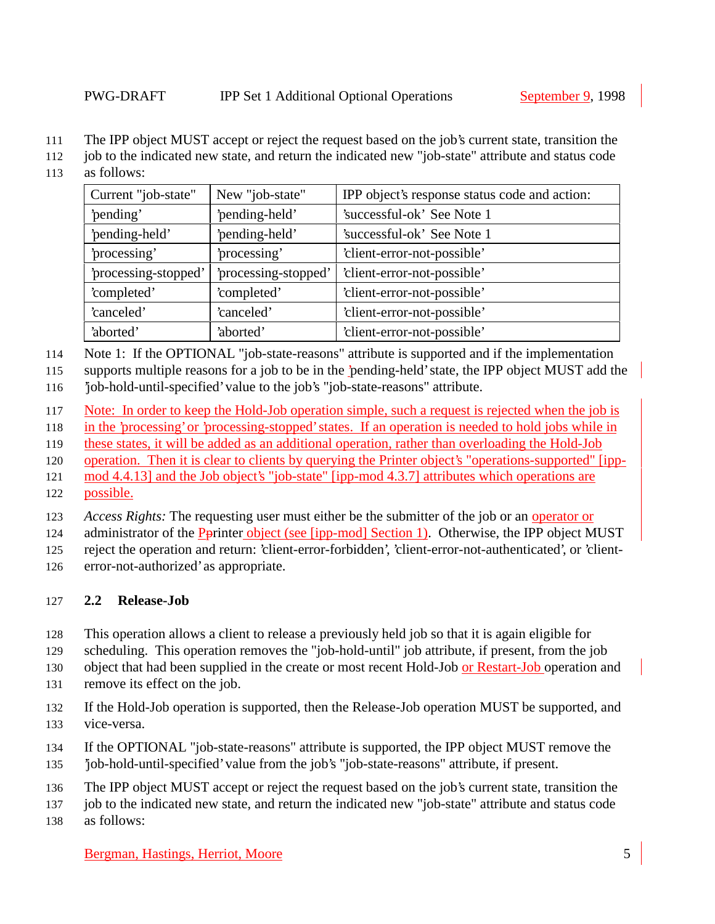- The IPP object MUST accept or reject the request based on the job's current state, transition the
- job to the indicated new state, and return the indicated new "job-state" attribute and status code
- as follows:

| Current "job-state"<br>New "job-state" |                      | IPP object's response status code and action: |
|----------------------------------------|----------------------|-----------------------------------------------|
| 'pending'                              | 'pending-held'       | 'successful-ok' See Note 1                    |
| 'pending-held'                         | 'pending-held'       | 'successful-ok' See Note 1                    |
| 'processing'                           | 'processing'         | 'client-error-not-possible'                   |
| 'processing-stopped'                   | 'processing-stopped' | 'client-error-not-possible'                   |
| 'completed'                            | 'completed'          | 'client-error-not-possible'                   |
| 'canceled'                             | 'canceled'           | 'client-error-not-possible'                   |
| 'aborted'                              | 'aborted'            | 'client-error-not-possible'                   |

Note 1: If the OPTIONAL "job-state-reasons" attribute is supported and if the implementation

supports multiple reasons for a job to be in the 'pending-held' state, the IPP object MUST add the

'job-hold-until-specified' value to the job's "job-state-reasons" attribute.

Note: In order to keep the Hold-Job operation simple, such a request is rejected when the job is

in the 'processing' or 'processing-stopped' states. If an operation is needed to hold jobs while in

these states, it will be added as an additional operation, rather than overloading the Hold-Job

operation. Then it is clear to clients by querying the Printer object's "operations-supported" [ipp-

 mod 4.4.13] and the Job object's "job-state" [ipp-mod 4.3.7] attributes which operations are possible.

*Access Rights:* The requesting user must either be the submitter of the job or an operator or

124 administrator of the Pprinter object (see [ipp-mod] Section 1). Otherwise, the IPP object MUST

reject the operation and return: 'client-error-forbidden', 'client-error-not-authenticated', or 'client-

error-not-authorized' as appropriate.

# **2.2 Release-Job**

This operation allows a client to release a previously held job so that it is again eligible for

scheduling. This operation removes the "job-hold-until" job attribute, if present, from the job

130 object that had been supplied in the create or most recent Hold-Job or Restart-Job operation and

remove its effect on the job.

 If the Hold-Job operation is supported, then the Release-Job operation MUST be supported, and vice-versa.

- If the OPTIONAL "job-state-reasons" attribute is supported, the IPP object MUST remove the
- 'job-hold-until-specified' value from the job's "job-state-reasons" attribute, if present.
- The IPP object MUST accept or reject the request based on the job's current state, transition the
- job to the indicated new state, and return the indicated new "job-state" attribute and status code
- as follows: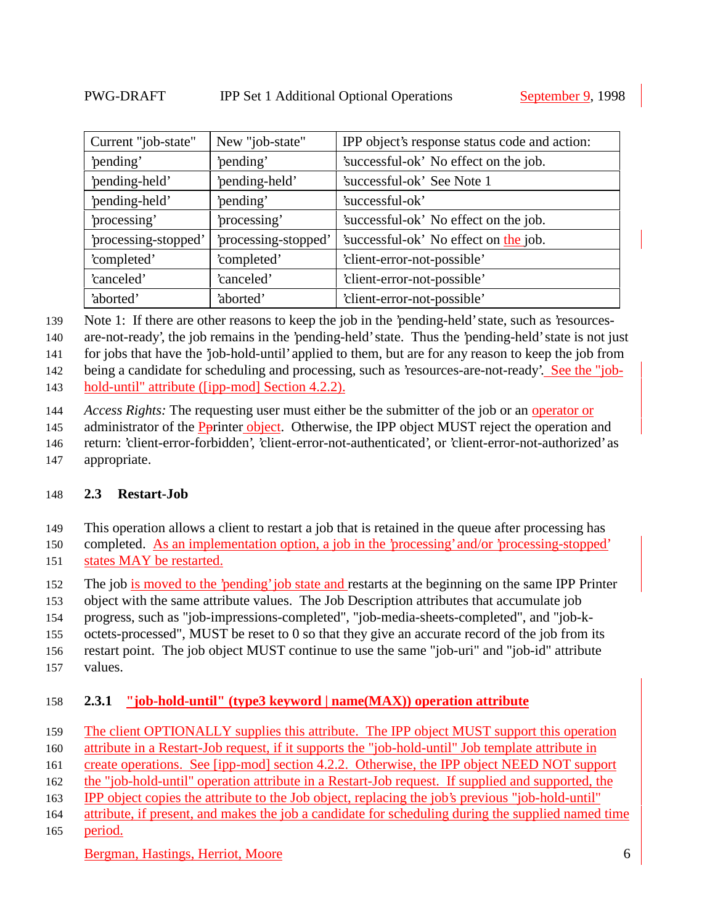| Current "job-state"  | New "job-state"      | IPP object's response status code and action: |
|----------------------|----------------------|-----------------------------------------------|
| 'pending'            | 'pending'            | 'successful-ok' No effect on the job.         |
| 'pending-held'       | 'pending-held'       | 'successful-ok' See Note 1                    |
| 'pending-held'       | 'pending'            | 'successful-ok'                               |
| processing'          | 'processing'         | 'successful-ok' No effect on the job.         |
| 'processing-stopped' | 'processing-stopped' | 'successful-ok' No effect on the job.         |
| 'completed'          | 'completed'          | 'client-error-not-possible'                   |
| 'canceled'           | 'canceled'           | 'client-error-not-possible'                   |
| 'aborted'            | 'aborted'            | 'client-error-not-possible'                   |

Note 1: If there are other reasons to keep the job in the 'pending-held' state, such as 'resources-

are-not-ready', the job remains in the 'pending-held' state. Thus the 'pending-held' state is not just

for jobs that have the 'job-hold-until' applied to them, but are for any reason to keep the job from

being a candidate for scheduling and processing, such as 'resources-are-not-ready'. See the "job-

hold-until" attribute ([ipp-mod] Section 4.2.2).

*Access Rights:* The requesting user must either be the submitter of the job or an operator or

145 administrator of the Pprinter object. Otherwise, the IPP object MUST reject the operation and

return: 'client-error-forbidden', 'client-error-not-authenticated', or 'client-error-not-authorized' as

appropriate.

# **2.3 Restart-Job**

This operation allows a client to restart a job that is retained in the queue after processing has

completed. As an implementation option, a job in the 'processing' and/or 'processing-stopped'

- states MAY be restarted.
- The job is moved to the 'pending' job state and restarts at the beginning on the same IPP Printer
- object with the same attribute values. The Job Description attributes that accumulate job

progress, such as "job-impressions-completed", "job-media-sheets-completed", and "job-k-

octets-processed", MUST be reset to 0 so that they give an accurate record of the job from its

restart point. The job object MUST continue to use the same "job-uri" and "job-id" attribute

values.

# **2.3.1 "job-hold-until" (type3 keyword | name(MAX)) operation attribute**

159 The client OPTIONALLY supplies this attribute. The IPP object MUST support this operation

attribute in a Restart-Job request, if it supports the "job-hold-until" Job template attribute in

create operations. See [ipp-mod] section 4.2.2. Otherwise, the IPP object NEED NOT support

the "job-hold-until" operation attribute in a Restart-Job request. If supplied and supported, the

IPP object copies the attribute to the Job object, replacing the job's previous "job-hold-until"

attribute, if present, and makes the job a candidate for scheduling during the supplied named time

period.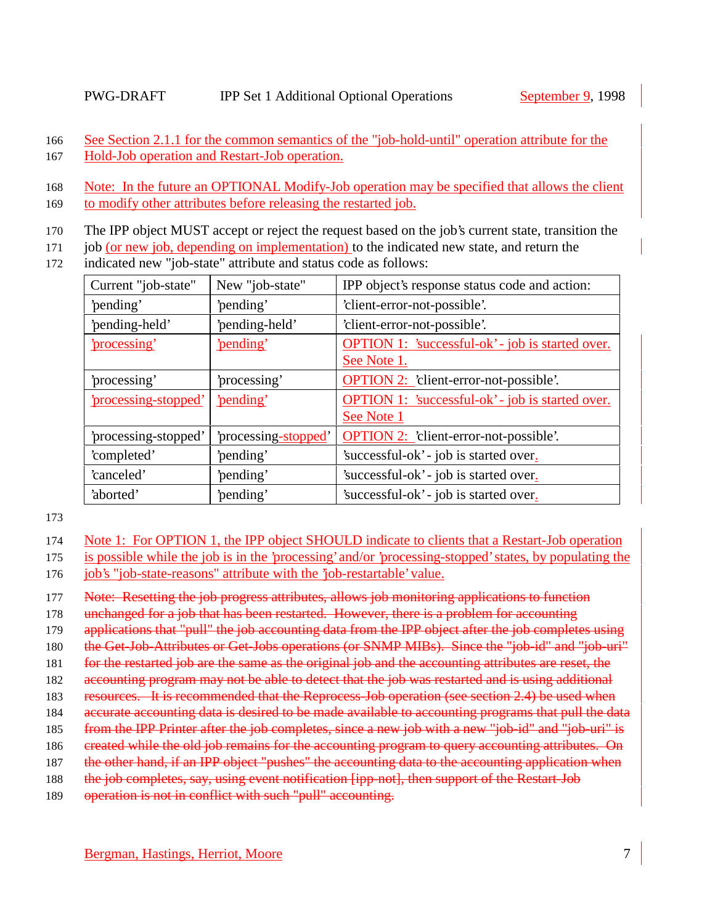166 See Section 2.1.1 for the common semantics of the "job-hold-until" operation attribute for the

167 Hold-Job operation and Restart-Job operation.

169 to modify other attributes before releasing the restarted job.

- 170 The IPP object MUST accept or reject the request based on the job's current state, transition the
- 171 job (or new job, depending on implementation) to the indicated new state, and return the
- 172 indicated new "job-state" attribute and status code as follows:

| Current "job-state"              | New "job-state"      | IPP object's response status code and action:           |  |
|----------------------------------|----------------------|---------------------------------------------------------|--|
| 'pending'                        | 'pending'            | 'client-error-not-possible'.                            |  |
| 'pending-held'<br>'pending-held' |                      | 'client-error-not-possible'.                            |  |
| <u>'processing'</u>              | 'pending'            | <b>OPTION 1:</b> 'successful-ok' - job is started over. |  |
|                                  |                      | See Note 1.                                             |  |
| 'processing'                     | 'processing'         | <b>OPTION 2: 'client-error-not-possible'.</b>           |  |
| 'processing-stopped'             | 'pending'            | <b>OPTION 1:</b> 'successful-ok' - job is started over. |  |
|                                  |                      | See Note 1                                              |  |
| 'processing-stopped'             | 'processing-stopped' | <b>OPTION 2:</b> 'client-error-not-possible'.           |  |
| 'completed'                      | 'pending'            | 'successful-ok' - job is started over.                  |  |
| 'canceled'                       | 'pending'            | 'successful-ok' - job is started over.                  |  |
| 'aborted'                        | 'pending'            | 'successful-ok' - job is started over.                  |  |

173

- 174 Note 1: For OPTION 1, the IPP object SHOULD indicate to clients that a Restart-Job operation
- 175 is possible while the job is in the 'processing' and/or 'processing-stopped' states, by populating the 176 job's "job-state-reasons" attribute with the 'job-restartable' value.
- 177 Note: Resetting the job progress attributes, allows job monitoring applications to function
- 178 unchanged for a job that has been restarted. However, there is a problem for accounting
- 179 applications that "pull" the job accounting data from the IPP object after the job completes using
- 180 the Get-Job-Attributes or Get-Jobs operations (or SNMP MIBs). Since the "job-id" and "job-uri"
- 181 for the restarted job are the same as the original job and the accounting attributes are reset, the
- 182 accounting program may not be able to detect that the job was restarted and is using additional
- 183 resources. It is recommended that the Reprocess-Job operation (see section 2.4) be used when
- 184 accurate accounting data is desired to be made available to accounting programs that pull the data
- 185 from the IPP Printer after the job completes, since a new job with a new "job-id" and "job-uri" is
- 186 created while the old job remains for the accounting program to query accounting attributes. On
- 187 the other hand, if an IPP object "pushes" the accounting data to the accounting application when
- 188 the job completes, say, using event notification [ipp-not], then support of the Restart-Job
- 189 operation is not in conflict with such "pull" accounting.

<sup>168</sup> Note: In the future an OPTIONAL Modify-Job operation may be specified that allows the client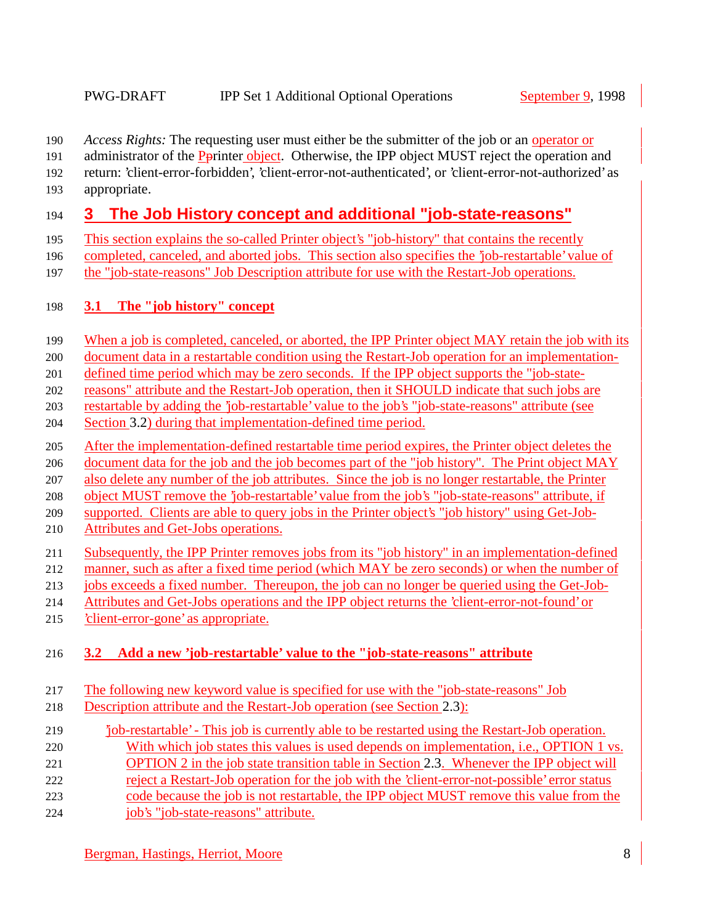- *Access Rights:* The requesting user must either be the submitter of the job or an operator or
- 191 administrator of the Pprinter object. Otherwise, the IPP object MUST reject the operation and
- return: 'client-error-forbidden', 'client-error-not-authenticated', or 'client-error-not-authorized' as
- appropriate.

# **3 The Job History concept and additional "job-state-reasons"**

- This section explains the so-called Printer object's "job-history" that contains the recently
- completed, canceled, and aborted jobs. This section also specifies the 'job-restartable' value of
- the "job-state-reasons" Job Description attribute for use with the Restart-Job operations.

# **3.1 The "job history" concept**

- 199 When a job is completed, canceled, or aborted, the IPP Printer object MAY retain the job with its
- document data in a restartable condition using the Restart-Job operation for an implementation-
- defined time period which may be zero seconds. If the IPP object supports the "job-state-
- reasons" attribute and the Restart-Job operation, then it SHOULD indicate that such jobs are
- restartable by adding the 'job-restartable' value to the job's "job-state-reasons" attribute (see
- Section 3.2) during that implementation-defined time period.
- After the implementation-defined restartable time period expires, the Printer object deletes the
- document data for the job and the job becomes part of the "job history". The Print object MAY
- also delete any number of the job attributes. Since the job is no longer restartable, the Printer
- object MUST remove the 'job-restartable' value from the job's "job-state-reasons" attribute, if
- supported. Clients are able to query jobs in the Printer object's "job history" using Get-Job-
- Attributes and Get-Jobs operations.
- Subsequently, the IPP Printer removes jobs from its "job history" in an implementation-defined
- manner, such as after a fixed time period (which MAY be zero seconds) or when the number of
- jobs exceeds a fixed number. Thereupon, the job can no longer be queried using the Get-Job-
- Attributes and Get-Jobs operations and the IPP object returns the 'client-error-not-found' or
- 'client-error-gone' as appropriate.

# **3.2 Add a new 'job-restartable' value to the "job-state-reasons" attribute**

- The following new keyword value is specified for use with the "job-state-reasons" Job
- Description attribute and the Restart-Job operation (see Section 2.3):
- 'job-restartable' This job is currently able to be restarted using the Restart-Job operation. With which job states this values is used depends on implementation, i.e., OPTION 1 vs.
- OPTION 2 in the job state transition table in Section 2.3. Whenever the IPP object will
- reject a Restart-Job operation for the job with the 'client-error-not-possible' error status
- code because the job is not restartable, the IPP object MUST remove this value from the
- job's "job-state-reasons" attribute.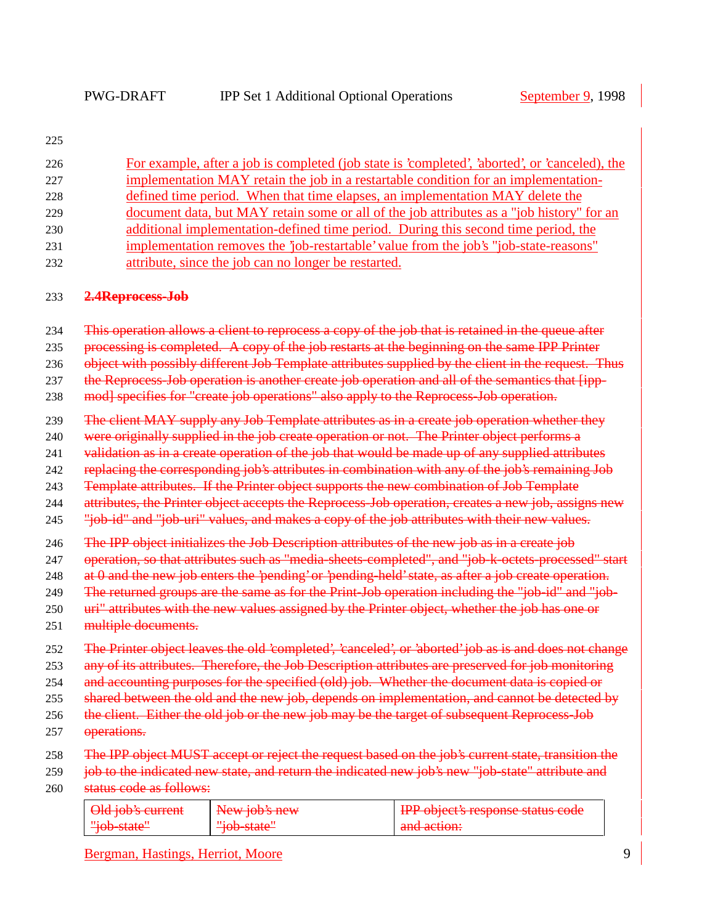|  | I<br>۰.<br>× |
|--|--------------|

| 226               | For example, after a job is completed (job state is 'completed', 'aborted', or 'canceled), the        |               |                                                                                                                                                                                                       |  |  |
|-------------------|-------------------------------------------------------------------------------------------------------|---------------|-------------------------------------------------------------------------------------------------------------------------------------------------------------------------------------------------------|--|--|
| 227               | implementation MAY retain the job in a restartable condition for an implementation-                   |               |                                                                                                                                                                                                       |  |  |
| 228               | defined time period. When that time elapses, an implementation MAY delete the                         |               |                                                                                                                                                                                                       |  |  |
| 229               | document data, but MAY retain some or all of the job attributes as a "job history" for an             |               |                                                                                                                                                                                                       |  |  |
| 230               | additional implementation-defined time period. During this second time period, the                    |               |                                                                                                                                                                                                       |  |  |
| 231               | implementation removes the 'job-restartable' value from the job's "job-state-reasons"                 |               |                                                                                                                                                                                                       |  |  |
| 232               | attribute, since the job can no longer be restarted.                                                  |               |                                                                                                                                                                                                       |  |  |
| 233               | 2.4Reprocess-Job                                                                                      |               |                                                                                                                                                                                                       |  |  |
| 234               | This operation allows a client to reprocess a copy of the job that is retained in the queue after     |               |                                                                                                                                                                                                       |  |  |
| 235               | processing is completed. A copy of the job restarts at the beginning on the same IPP Printer          |               |                                                                                                                                                                                                       |  |  |
| 236               | object with possibly different Job Template attributes supplied by the client in the request. Thus    |               |                                                                                                                                                                                                       |  |  |
| 237               | the Reprocess-Job operation is another create job operation and all of the semantics that [ipp-       |               |                                                                                                                                                                                                       |  |  |
| 238               | mod] specifies for "create job operations" also apply to the Reprocess-Job operation.                 |               |                                                                                                                                                                                                       |  |  |
| 239               | The client MAY supply any Job Template attributes as in a create job operation whether they           |               |                                                                                                                                                                                                       |  |  |
| 240               | were originally supplied in the job create operation or not. The Printer object performs a            |               |                                                                                                                                                                                                       |  |  |
| 241               | validation as in a create operation of the job that would be made up of any supplied attributes       |               |                                                                                                                                                                                                       |  |  |
| 242               | replacing the corresponding job's attributes in combination with any of the job's remaining Job       |               |                                                                                                                                                                                                       |  |  |
| 243               | Template attributes. If the Printer object supports the new combination of Job Template               |               |                                                                                                                                                                                                       |  |  |
| 244               | attributes, the Printer object accepts the Reprocess-Job operation, creates a new job, assigns new    |               |                                                                                                                                                                                                       |  |  |
| 245               | "job-id" and "job-uri" values, and makes a copy of the job attributes with their new values.          |               |                                                                                                                                                                                                       |  |  |
| 246               | The IPP object initializes the Job Description attributes of the new job as in a create job           |               |                                                                                                                                                                                                       |  |  |
| 247               | operation, so that attributes such as "media sheets completed", and "job k octets processed" start    |               |                                                                                                                                                                                                       |  |  |
| 248               | at 0 and the new job enters the 'pending' or 'pending-held' state, as after a job create operation.   |               |                                                                                                                                                                                                       |  |  |
| 249               | The returned groups are the same as for the Print-Job operation including the "job-id" and "job-      |               |                                                                                                                                                                                                       |  |  |
| 250               | uri" attributes with the new values assigned by the Printer object, whether the job has one or        |               |                                                                                                                                                                                                       |  |  |
| 251               | multiple documents.                                                                                   |               |                                                                                                                                                                                                       |  |  |
| 252               | The Printer object leaves the old 'completed', 'canceled', or 'aborted' job as is and does not change |               |                                                                                                                                                                                                       |  |  |
| 253               | any of its attributes. Therefore, the Job Description attributes are preserved for job monitoring     |               |                                                                                                                                                                                                       |  |  |
| 254               | and accounting purposes for the specified (old) job. Whether the document data is copied or           |               |                                                                                                                                                                                                       |  |  |
| 255               | shared between the old and the new job, depends on implementation, and cannot be detected by          |               |                                                                                                                                                                                                       |  |  |
| 256               | the client. Either the old job or the new job may be the target of subsequent Reprocess Job           |               |                                                                                                                                                                                                       |  |  |
| 257               | operations.                                                                                           |               |                                                                                                                                                                                                       |  |  |
| 258<br>259<br>260 | status code as follows:                                                                               |               | The IPP object MUST accept or reject the request based on the job's current state, transition the<br>job to the indicated new state, and return the indicated new job's new "job-state" attribute and |  |  |
|                   | Old job's current                                                                                     | New job's new | IPP object's response status code                                                                                                                                                                     |  |  |
|                   | "job-state"                                                                                           | "job-state"   | and action:                                                                                                                                                                                           |  |  |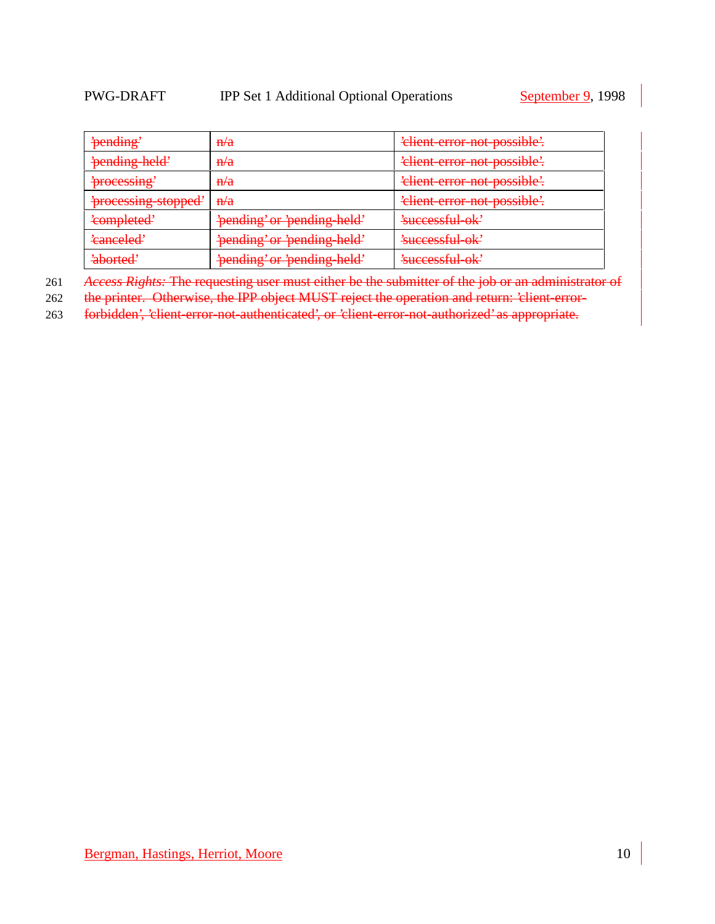| 'pending'                         | H/a                         | 'elient-error-not-possible'.               |
|-----------------------------------|-----------------------------|--------------------------------------------|
| pending held'                     | $\frac{H}{a}$               | 'elient error not possible'.               |
| 'processing'                      | $\frac{\mathbf{n}}{a}$      | 'elient-error-not-possible'.               |
| 'processing-stopped'              | $\frac{\mathbf{n}}{a}$      | 'elient-error-not-possible'.               |
| 'completed'                       | 'pending' or 'pending-held' | 'successful-ok'                            |
| 'canceled'                        | 'pending' or 'pending held' | 'successful ok'                            |
| $'$ ahorted'<br><del>avonce</del> | 'pending' or 'pending held' | $2n$ $\cos$ $\sin$ $\cos$<br>nuvaanium vir |

261 *Access Rights:* The requesting user must either be the submitter of the job or an administrator of

262 the printer. Otherwise, the IPP object MUST reject the operation and return: 'client-error-

263 forbidden', 'client-error-not-authenticated', or 'client-error-not-authorized' as appropriate.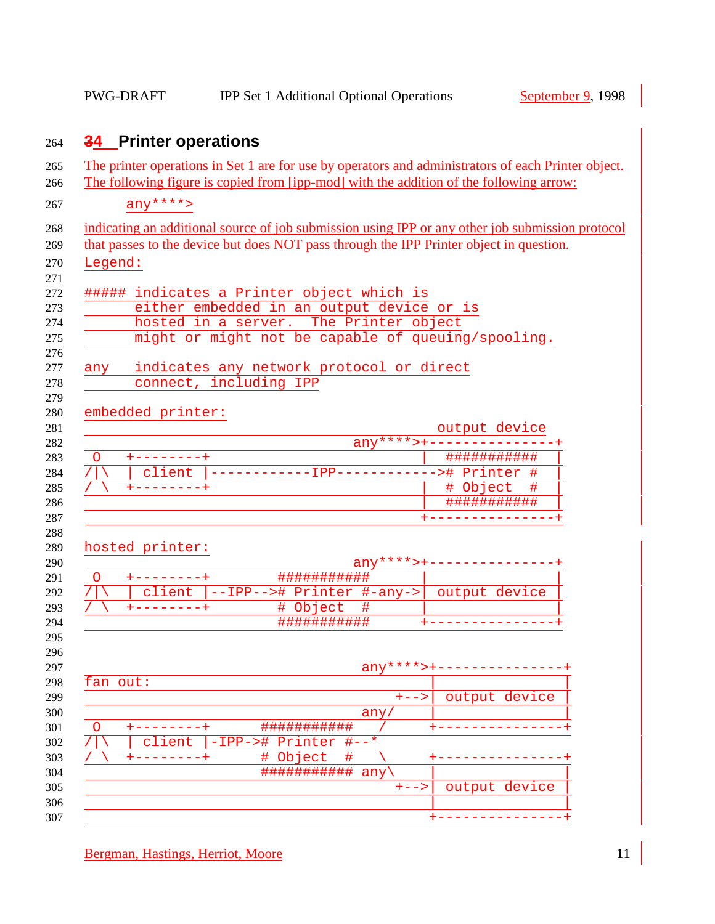# **34 Printer operations**

|                                              | The printer operations in Set 1 are for use by operators and administrators of each Printer object.<br>The following figure is copied from [ipp-mod] with the addition of the following arrow: |
|----------------------------------------------|------------------------------------------------------------------------------------------------------------------------------------------------------------------------------------------------|
| $any***$                                     |                                                                                                                                                                                                |
|                                              |                                                                                                                                                                                                |
|                                              | indicating an additional source of job submission using IPP or any other job submission protocol                                                                                               |
|                                              | that passes to the device but does NOT pass through the IPP Printer object in question.                                                                                                        |
| Legend:                                      |                                                                                                                                                                                                |
| ##### indicates a Printer object which is    |                                                                                                                                                                                                |
|                                              | either embedded in an output device or is                                                                                                                                                      |
|                                              | hosted in a server. The Printer object                                                                                                                                                         |
|                                              | might or might not be capable of queuing/spooling.                                                                                                                                             |
|                                              |                                                                                                                                                                                                |
| any indicates any network protocol or direct |                                                                                                                                                                                                |
| connect, including IPP                       |                                                                                                                                                                                                |
|                                              |                                                                                                                                                                                                |
| embedded printer:                            | output device                                                                                                                                                                                  |
|                                              | $any****+-----------------+$                                                                                                                                                                   |
| +--------+<br>$\circ$                        | ###########                                                                                                                                                                                    |
|                                              | client  ------------IPP------------># Printer #                                                                                                                                                |
| $+ - - - - - - - +$                          | # Object<br>#                                                                                                                                                                                  |
|                                              | ###########                                                                                                                                                                                    |
|                                              | +--------------+                                                                                                                                                                               |
|                                              |                                                                                                                                                                                                |
| hosted printer:                              | $\text{any} \frac{***}{*}$ + - - - - - - - - - - - - - -                                                                                                                                       |
| $+ - - - - - - - +$<br>$\circ$               | ###########                                                                                                                                                                                    |
|                                              | client $ -IPP-->\#$ Printer $#-any-> $ output device                                                                                                                                           |
|                                              |                                                                                                                                                                                                |
| $+ - - - - - - - +$                          | #<br># Object                                                                                                                                                                                  |
|                                              | ###########                                                                                                                                                                                    |
|                                              |                                                                                                                                                                                                |
|                                              |                                                                                                                                                                                                |
|                                              |                                                                                                                                                                                                |
| fan out:                                     | $\frac{any***+-----------------}{}$                                                                                                                                                            |
|                                              | $+ - - >$<br>output device                                                                                                                                                                     |
| O                                            | any                                                                                                                                                                                            |
| -IPP-># Printer<br>client                    | ###########<br>$# - -*$                                                                                                                                                                        |
|                                              | # Object<br>#                                                                                                                                                                                  |
|                                              | ###########<br>any                                                                                                                                                                             |
|                                              | output device<br>$+ - - >$                                                                                                                                                                     |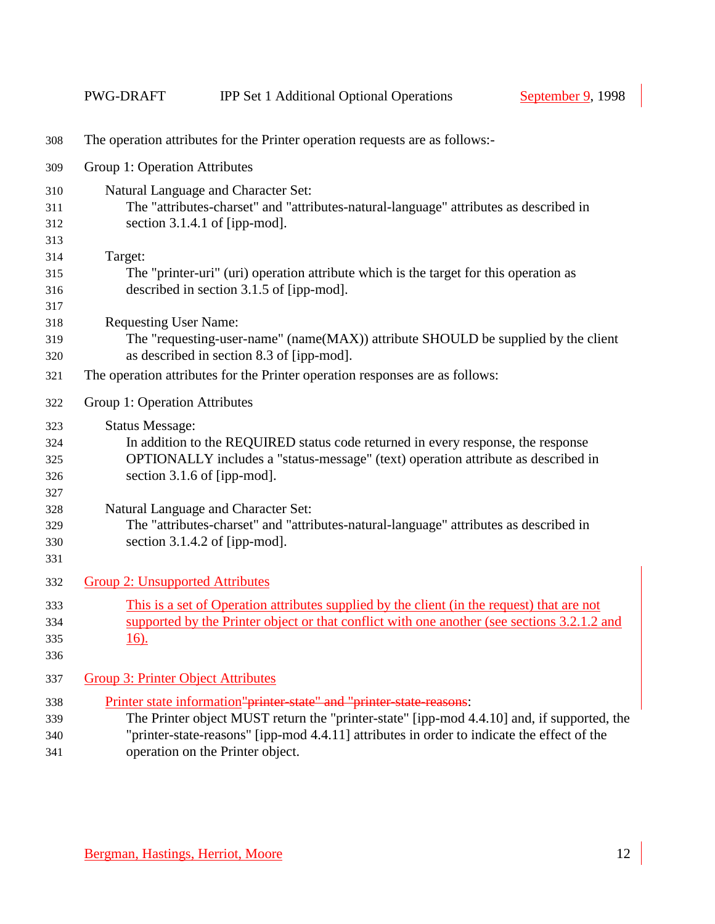|                                        | PWG-DRAFT                                 | <b>IPP Set 1 Additional Optional Operations</b>                                                                                                                                                                                                                  | September 9, 1998 |  |
|----------------------------------------|-------------------------------------------|------------------------------------------------------------------------------------------------------------------------------------------------------------------------------------------------------------------------------------------------------------------|-------------------|--|
| 308                                    |                                           | The operation attributes for the Printer operation requests are as follows:-                                                                                                                                                                                     |                   |  |
| 309                                    | Group 1: Operation Attributes             |                                                                                                                                                                                                                                                                  |                   |  |
| 310                                    |                                           | Natural Language and Character Set:                                                                                                                                                                                                                              |                   |  |
| 311<br>312                             |                                           | The "attributes-charset" and "attributes-natural-language" attributes as described in<br>section 3.1.4.1 of [ipp-mod].                                                                                                                                           |                   |  |
| 313<br>314                             | Target:                                   |                                                                                                                                                                                                                                                                  |                   |  |
| 315<br>316<br>317                      |                                           | The "printer-uri" (uri) operation attribute which is the target for this operation as<br>described in section 3.1.5 of [ipp-mod].                                                                                                                                |                   |  |
| 318<br>319<br>320                      | <b>Requesting User Name:</b>              | The "requesting-user-name" (name(MAX)) attribute SHOULD be supplied by the client<br>as described in section 8.3 of [ipp-mod].                                                                                                                                   |                   |  |
| 321                                    |                                           | The operation attributes for the Printer operation responses are as follows:                                                                                                                                                                                     |                   |  |
| 322                                    | Group 1: Operation Attributes             |                                                                                                                                                                                                                                                                  |                   |  |
| 323<br>324<br>325<br>326<br>327<br>328 | <b>Status Message:</b>                    | In addition to the REQUIRED status code returned in every response, the response<br>OPTIONALLY includes a "status-message" (text) operation attribute as described in<br>section 3.1.6 of [ipp-mod].<br>Natural Language and Character Set:                      |                   |  |
| 329<br>330<br>331                      |                                           | The "attributes-charset" and "attributes-natural-language" attributes as described in<br>section $3.1.4.2$ of [ipp-mod].                                                                                                                                         |                   |  |
| 332                                    | <b>Group 2: Unsupported Attributes</b>    |                                                                                                                                                                                                                                                                  |                   |  |
| 333<br>334<br>335<br>336               | $16)$ .                                   | This is a set of Operation attributes supplied by the client (in the request) that are not<br>supported by the Printer object or that conflict with one another (see sections 3.2.1.2 and                                                                        |                   |  |
| 337                                    | <b>Group 3: Printer Object Attributes</b> |                                                                                                                                                                                                                                                                  |                   |  |
| 338<br>339<br>340                      |                                           | Printer state information"printer state" and "printer state reasons:<br>The Printer object MUST return the "printer-state" [ipp-mod 4.4.10] and, if supported, the<br>"printer-state-reasons" [ipp-mod 4.4.11] attributes in order to indicate the effect of the |                   |  |

operation on the Printer object.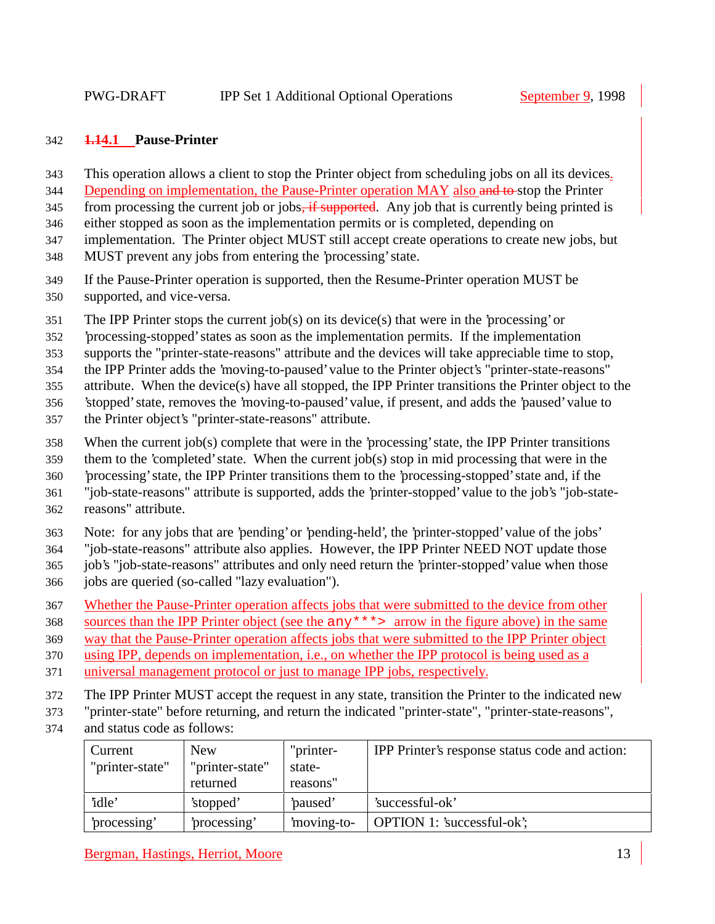#### **1.14.1 Pause-Printer**

- This operation allows a client to stop the Printer object from scheduling jobs on all its devices.
- 344 Depending on implementation, the Pause-Printer operation MAY also and to-stop the Printer
- 345 from processing the current job or jobs<del>, if supported</del>. Any job that is currently being printed is
- either stopped as soon as the implementation permits or is completed, depending on
- implementation. The Printer object MUST still accept create operations to create new jobs, but
- MUST prevent any jobs from entering the 'processing' state.
- If the Pause-Printer operation is supported, then the Resume-Printer operation MUST be supported, and vice-versa.
- The IPP Printer stops the current job(s) on its device(s) that were in the 'processing' or
- 'processing-stopped' states as soon as the implementation permits. If the implementation
- supports the "printer-state-reasons" attribute and the devices will take appreciable time to stop,
- the IPP Printer adds the 'moving-to-paused' value to the Printer object's "printer-state-reasons"
- attribute. When the device(s) have all stopped, the IPP Printer transitions the Printer object to the
- 'stopped' state, removes the 'moving-to-paused' value, if present, and adds the 'paused' value to
- the Printer object's "printer-state-reasons" attribute.
- When the current job(s) complete that were in the 'processing' state, the IPP Printer transitions
- them to the 'completed' state. When the current job(s) stop in mid processing that were in the
- 'processing' state, the IPP Printer transitions them to the 'processing-stopped' state and, if the
- "job-state-reasons" attribute is supported, adds the 'printer-stopped' value to the job's "job-state-
- reasons" attribute.
- Note: for any jobs that are 'pending' or 'pending-held', the 'printer-stopped' value of the jobs'
- "job-state-reasons" attribute also applies. However, the IPP Printer NEED NOT update those
- job's "job-state-reasons" attributes and only need return the 'printer-stopped' value when those
- jobs are queried (so-called "lazy evaluation").
- Whether the Pause-Printer operation affects jobs that were submitted to the device from other
- sources than the IPP Printer object (see the any\*\*\*> arrow in the figure above) in the same
- way that the Pause-Printer operation affects jobs that were submitted to the IPP Printer object
- using IPP, depends on implementation, i.e., on whether the IPP protocol is being used as a
- universal management protocol or just to manage IPP jobs, respectively.
- The IPP Printer MUST accept the request in any state, transition the Printer to the indicated new
- "printer-state" before returning, and return the indicated "printer-state", "printer-state-reasons",
- and status code as follows:

| Current         | <b>New</b>      | "printer-  | <b>IPP</b> Printer's response status code and action: |
|-----------------|-----------------|------------|-------------------------------------------------------|
| "printer-state" | "printer-state" | state-     |                                                       |
|                 | returned        | reasons"   |                                                       |
| 'idle'          | 'stopped'       | paused'    | 'successful-ok'                                       |
| processing'     | processing'     | moving-to- | OPTION 1: 'successful-ok';                            |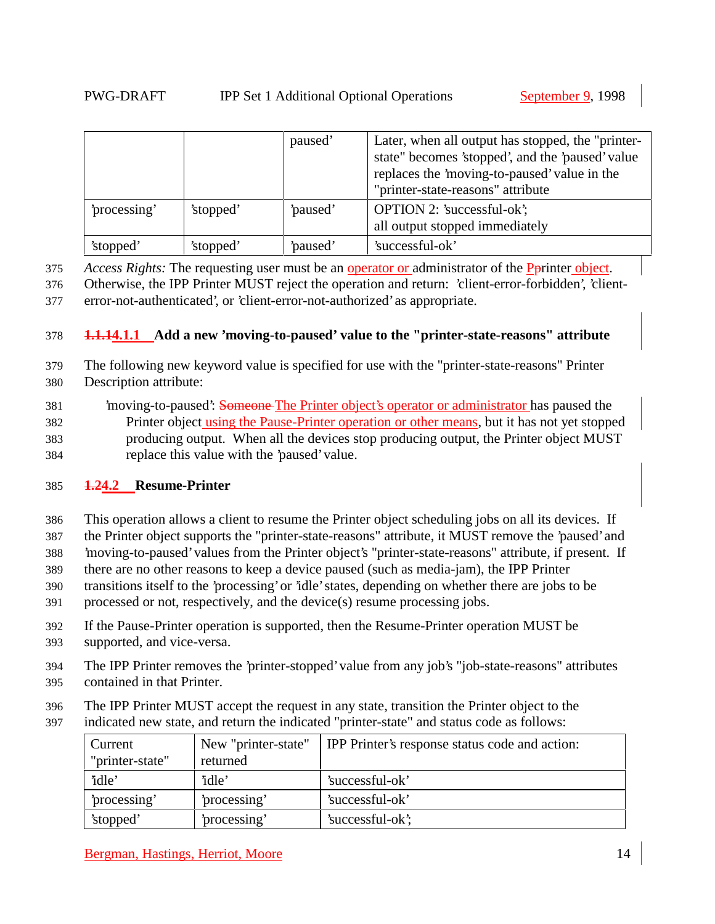|              |           | paused' | Later, when all output has stopped, the "printer-<br>state" becomes 'stopped', and the 'paused' value<br>replaces the 'moving-to-paused' value in the<br>"printer-state-reasons" attribute |
|--------------|-----------|---------|--------------------------------------------------------------------------------------------------------------------------------------------------------------------------------------------|
| 'processing' | 'stopped' | paused' | <b>OPTION 2: 'successful-ok';</b><br>all output stopped immediately                                                                                                                        |
| 'stopped'    | 'stopped' | paused' | 'successful-ok'                                                                                                                                                                            |

375 *Access Rights:* The requesting user must be an operator or administrator of the Pprinter object.

376 Otherwise, the IPP Printer MUST reject the operation and return: 'client-error-forbidden', 'client-377 error-not-authenticated', or 'client-error-not-authorized' as appropriate.

#### 378 **1.1.14.1.1 Add a new 'moving-to-paused' value to the "printer-state-reasons" attribute**

- 379 The following new keyword value is specified for use with the "printer-state-reasons" Printer 380 Description attribute:
- 381 'moving-to-paused': Someone The Printer object's operator or administrator has paused the 382 Printer object using the Pause-Printer operation or other means, but it has not yet stopped 383 producing output. When all the devices stop producing output, the Printer object MUST 384 replace this value with the 'paused' value.

# 385 **1.24.2 Resume-Printer**

386 This operation allows a client to resume the Printer object scheduling jobs on all its devices. If

- 387 the Printer object supports the "printer-state-reasons" attribute, it MUST remove the 'paused' and
- 388 'moving-to-paused' values from the Printer object's "printer-state-reasons" attribute, if present. If
- 389 there are no other reasons to keep a device paused (such as media-jam), the IPP Printer
- 390 transitions itself to the 'processing' or 'idle' states, depending on whether there are jobs to be
- 391 processed or not, respectively, and the device(s) resume processing jobs.
- 392 If the Pause-Printer operation is supported, then the Resume-Printer operation MUST be
- 393 supported, and vice-versa.
- 394 The IPP Printer removes the 'printer-stopped' value from any job's "job-state-reasons" attributes 395 contained in that Printer.
- 396 The IPP Printer MUST accept the request in any state, transition the Printer object to the
- 397 indicated new state, and return the indicated "printer-state" and status code as follows:

| Current         | New "printer-state" | IPP Printer's response status code and action: |
|-----------------|---------------------|------------------------------------------------|
| "printer-state" | returned            |                                                |
| 'idle'          | 'idle'              | 'successful-ok'                                |
| processing'     | processing'         | 'successful-ok'                                |
| 'stopped'       | processing'         | 'successful-ok';                               |